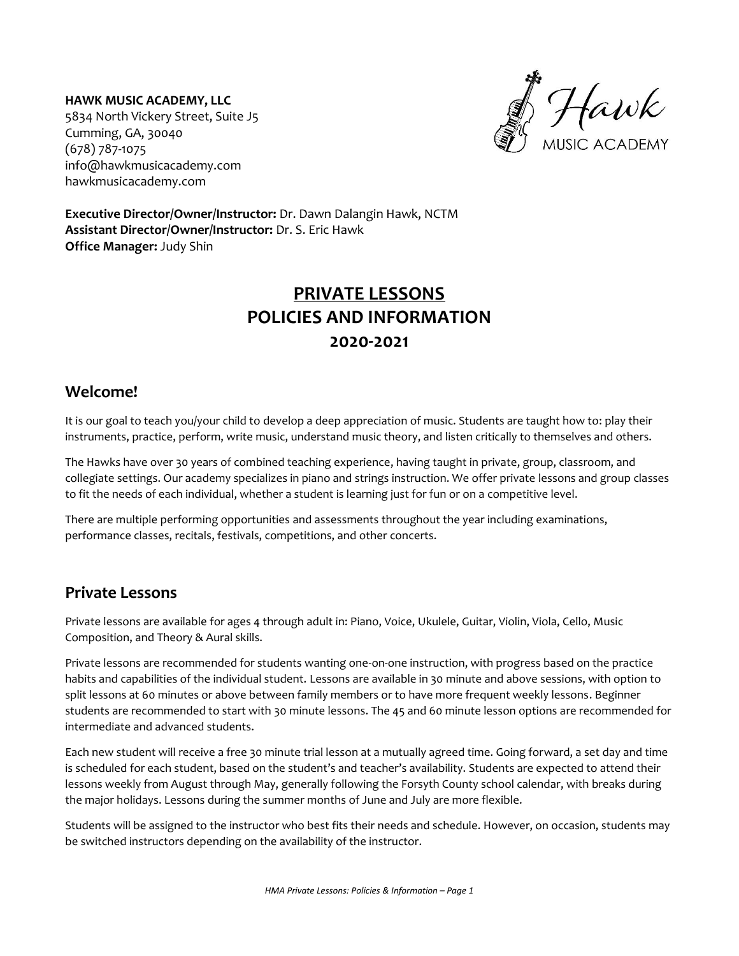**HAWK MUSIC ACADEMY, LLC** 5834 North Vickery Street, Suite J5 Cumming, GA, 30040 (678) 787-1075 info@hawkmusicacademy.com hawkmusicacademy.com

Hawk<br>MUSIC ACADEMY

**Executive Director/Owner/Instructor:** Dr. Dawn Dalangin Hawk, NCTM **Assistant Director/Owner/Instructor:** Dr. S. Eric Hawk **Office Manager:** Judy Shin

# **PRIVATE LESSONS POLICIES AND INFORMATION 2020-2021**

### **Welcome!**

It is our goal to teach you/your child to develop a deep appreciation of music. Students are taught how to: play their instruments, practice, perform, write music, understand music theory, and listen critically to themselves and others.

The Hawks have over 30 years of combined teaching experience, having taught in private, group, classroom, and collegiate settings. Our academy specializes in piano and strings instruction. We offer private lessons and group classes to fit the needs of each individual, whether a student is learning just for fun or on a competitive level.

There are multiple performing opportunities and assessments throughout the year including examinations, performance classes, recitals, festivals, competitions, and other concerts.

### **Private Lessons**

Private lessons are available for ages 4 through adult in: Piano, Voice, Ukulele, Guitar, Violin, Viola, Cello, Music Composition, and Theory & Aural skills.

Private lessons are recommended for students wanting one-on-one instruction, with progress based on the practice habits and capabilities of the individual student. Lessons are available in 30 minute and above sessions, with option to split lessons at 60 minutes or above between family members or to have more frequent weekly lessons. Beginner students are recommended to start with 30 minute lessons. The 45 and 60 minute lesson options are recommended for intermediate and advanced students.

Each new student will receive a free 30 minute trial lesson at a mutually agreed time. Going forward, a set day and time is scheduled for each student, based on the student's and teacher's availability. Students are expected to attend their lessons weekly from August through May, generally following the Forsyth County school calendar, with breaks during the major holidays. Lessons during the summer months of June and July are more flexible.

Students will be assigned to the instructor who best fits their needs and schedule. However, on occasion, students may be switched instructors depending on the availability of the instructor.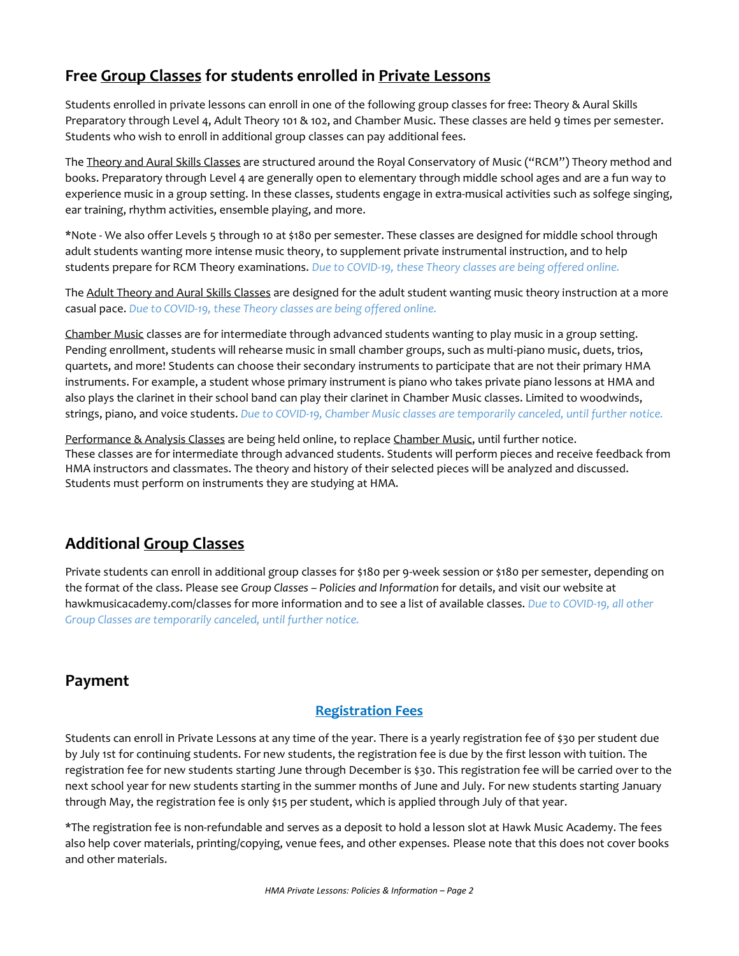## **Free Group Classes for students enrolled in Private Lessons**

Students enrolled in private lessons can enroll in one of the following group classes for free: Theory & Aural Skills Preparatory through Level 4, Adult Theory 101 & 102, and Chamber Music. These classes are held 9 times per semester. Students who wish to enroll in additional group classes can pay additional fees.

The Theory and Aural Skills Classes are structured around the Royal Conservatory of Music ("RCM") Theory method and books. Preparatory through Level 4 are generally open to elementary through middle school ages and are a fun way to experience music in a group setting. In these classes, students engage in extra-musical activities such as solfege singing, ear training, rhythm activities, ensemble playing, and more.

\*Note - We also offer Levels 5 through 10 at \$180 per semester. These classes are designed for middle school through adult students wanting more intense music theory, to supplement private instrumental instruction, and to help students prepare for RCM Theory examinations. *Due to COVID-19, these Theory classes are being offered online.*

The Adult Theory and Aural Skills Classes are designed for the adult student wanting music theory instruction at a more casual pace. *Due to COVID-19, these Theory classes are being offered online.*

Chamber Music classes are for intermediate through advanced students wanting to play music in a group setting. Pending enrollment, students will rehearse music in small chamber groups, such as multi-piano music, duets, trios, quartets, and more! Students can choose their secondary instruments to participate that are not their primary HMA instruments. For example, a student whose primary instrument is piano who takes private piano lessons at HMA and also plays the clarinet in their school band can play their clarinet in Chamber Music classes. Limited to woodwinds, strings, piano, and voice students. *Due to COVID-19, Chamber Music classes are temporarily canceled, until further notice.*

Performance & Analysis Classes are being held online, to replace [Chamber](https://www.hawkmusicacademy.com/chamber-music) Music, until further notice. These classes are for intermediate through advanced students. Students will perform pieces and receive feedback from HMA instructors and classmates. The theory and history of their selected pieces will be analyzed and discussed. Students must perform on instruments they are studying at HMA.

## **Additional Group Classes**

Private students can enroll in additional group classes for \$180 per 9-week session or \$180 per semester, depending on the format of the class. Please see *Group Classes – Policies and Information* for details, and visit our website at hawkmusicacademy.com/classes for more information and to see a list of available classes. *Due to COVID-19, all other Group Classes are temporarily canceled, until further notice.*

## **Payment**

### **Registration Fees**

Students can enroll in Private Lessons at any time of the year. There is a yearly registration fee of \$30 per student due by July 1st for continuing students. For new students, the registration fee is due by the first lesson with tuition. The registration fee for new students starting June through December is \$30. This registration fee will be carried over to the next school year for new students starting in the summer months of June and July. For new students starting January through May, the registration fee is only \$15 per student, which is applied through July of that year.

\*The registration fee is non-refundable and serves as a deposit to hold a lesson slot at Hawk Music Academy. The fees also help cover materials, printing/copying, venue fees, and other expenses. Please note that this does not cover books and other materials.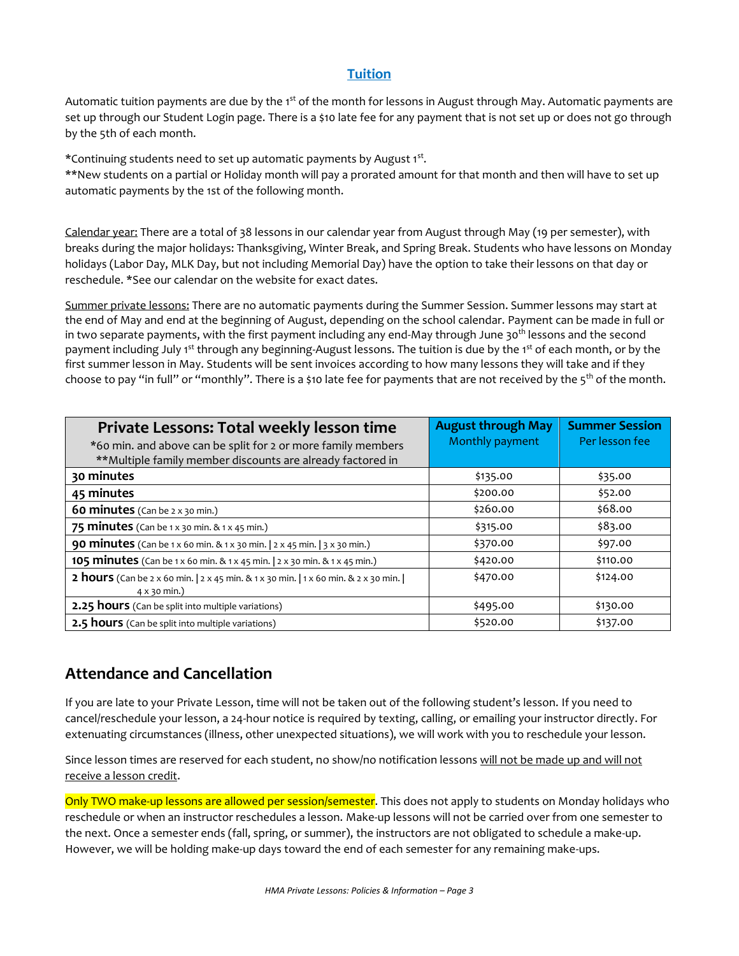#### **Tuition**

Automatic tuition payments are due by the 1<sup>st</sup> of the month for lessons in August through May. Automatic payments are set up through our Student Login page. There is a \$10 late fee for any payment that is not set up or does not go through by the 5th of each month.

\*Continuing students need to set up automatic payments by August 1st.

\*\*New students on a partial or Holiday month will pay a prorated amount for that month and then will have to set up automatic payments by the 1st of the following month.

Calendar year: There are a total of 38 lessons in our calendar year from August through May (19 per semester), with breaks during the major holidays: Thanksgiving, Winter Break, and Spring Break. Students who have lessons on Monday holidays (Labor Day, MLK Day, but not including Memorial Day) have the option to take their lessons on that day or reschedule. \*See our calendar on the website for exact dates.

Summer private lessons: There are no automatic payments during the Summer Session. Summer lessons may start at the end of May and end at the beginning of August, depending on the school calendar. Payment can be made in full or in two separate payments, with the first payment including any end-May through June 30<sup>th</sup> lessons and the second payment including July 1<sup>st</sup> through any beginning-August lessons. The tuition is due by the 1<sup>st</sup> of each month, or by the first summer lesson in May. Students will be sent invoices according to how many lessons they will take and if they choose to pay "in full" or "monthly". There is a \$10 late fee for payments that are not received by the 5<sup>th</sup> of the month.

| Private Lessons: Total weekly lesson time<br>*60 min. and above can be split for 2 or more family members<br>** Multiple family member discounts are already factored in | <b>August through May</b><br>Monthly payment | <b>Summer Session</b><br>Per lesson fee |
|--------------------------------------------------------------------------------------------------------------------------------------------------------------------------|----------------------------------------------|-----------------------------------------|
| 30 minutes                                                                                                                                                               | \$135.00                                     | \$35.00                                 |
| 45 minutes                                                                                                                                                               | \$200.00                                     | \$52.00                                 |
| 60 minutes (Can be 2 x 30 min.)                                                                                                                                          | \$260.00                                     | \$68.00                                 |
| 75 minutes (Can be 1 x 30 min. & 1 x 45 min.)                                                                                                                            | \$315.00                                     | \$83.00                                 |
| 90 minutes (Can be 1 x 60 min. & 1 x 30 min.   2 x 45 min.   3 x 30 min.)                                                                                                | \$370.00                                     | \$97.00                                 |
| 105 minutes (Can be 1 x 60 min. & 1 x 45 min.   2 x 30 min. & 1 x 45 min.)                                                                                               | \$420.00                                     | \$110.00                                |
| <b>2 hours</b> (Can be 2 x 60 min.   2 x 45 min. & 1 x 30 min.   1 x 60 min. & 2 x 30 min.  <br>$4 \times 30$ min.)                                                      | \$470.00                                     | \$124.00                                |
| 2.25 hours (Can be split into multiple variations)                                                                                                                       | \$495.00                                     | \$130.00                                |
| 2.5 hours (Can be split into multiple variations)                                                                                                                        | \$520.00                                     | \$137.00                                |

## **Attendance and Cancellation**

If you are late to your Private Lesson, time will not be taken out of the following student's lesson. If you need to cancel/reschedule your lesson, a 24-hour notice is required by texting, calling, or emailing your instructor directly. For extenuating circumstances (illness, other unexpected situations), we will work with you to reschedule your lesson.

Since lesson times are reserved for each student, no show/no notification lessons will not be made up and will not receive a lesson credit.

Only TWO make-up lessons are allowed per session/semester. This does not apply to students on Monday holidays who reschedule or when an instructor reschedules a lesson. Make-up lessons will not be carried over from one semester to the next. Once a semester ends (fall, spring, or summer), the instructors are not obligated to schedule a make-up. However, we will be holding make-up days toward the end of each semester for any remaining make-ups.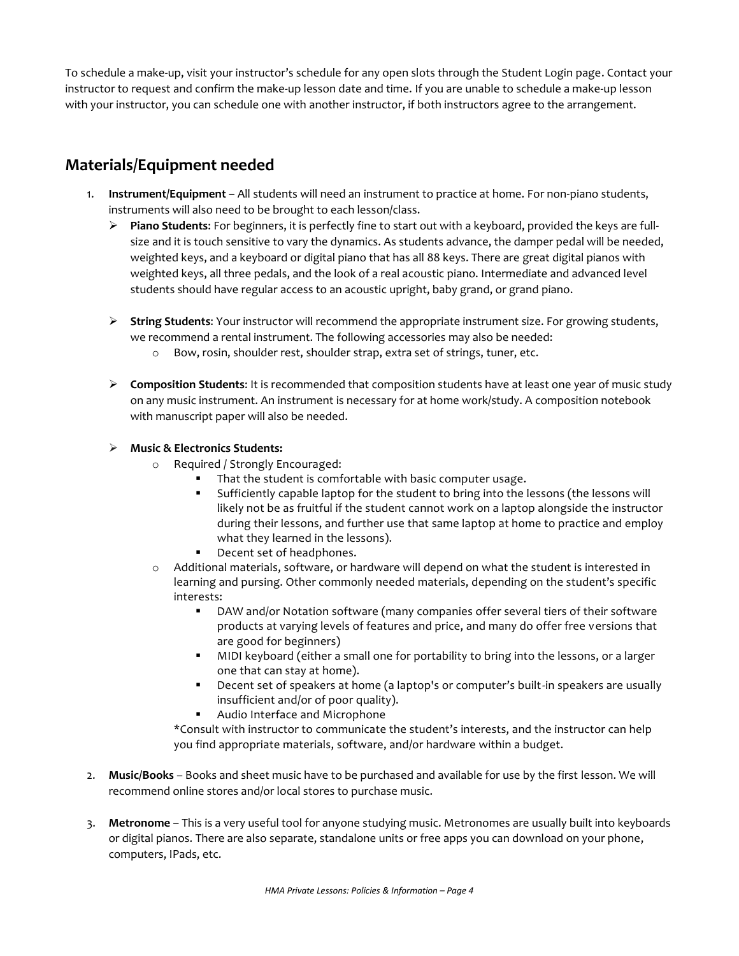To schedule a make-up, visit your instructor's schedule for any open slots through the Student Login page. Contact your instructor to request and confirm the make-up lesson date and time. If you are unable to schedule a make-up lesson with your instructor, you can schedule one with another instructor, if both instructors agree to the arrangement.

## **Materials/Equipment needed**

- 1. **Instrument/Equipment** All students will need an instrument to practice at home. For non-piano students, instruments will also need to be brought to each lesson/class.
	- **Piano Students**: For beginners, it is perfectly fine to start out with a keyboard, provided the keys are fullsize and it is touch sensitive to vary the dynamics. As students advance, the damper pedal will be needed, weighted keys, and a keyboard or digital piano that has all 88 keys. There are great digital pianos with weighted keys, all three pedals, and the look of a real acoustic piano. Intermediate and advanced level students should have regular access to an acoustic upright, baby grand, or grand piano.
	- **String Students**: Your instructor will recommend the appropriate instrument size. For growing students, we recommend a rental instrument. The following accessories may also be needed:
		- o Bow, rosin, shoulder rest, shoulder strap, extra set of strings, tuner, etc.
	- **Composition Students**: It is recommended that composition students have at least one year of music study on any music instrument. An instrument is necessary for at home work/study. A composition notebook with manuscript paper will also be needed.

#### **Music & Electronics Students:**

- o Required / Strongly Encouraged:
	- That the student is comfortable with basic computer usage.
	- Sufficiently capable laptop for the student to bring into the lessons (the lessons will likely not be as fruitful if the student cannot work on a laptop alongside the instructor during their lessons, and further use that same laptop at home to practice and employ what they learned in the lessons).
	- Decent set of headphones.
- o Additional materials, software, or hardware will depend on what the student is interested in learning and pursing. Other commonly needed materials, depending on the student's specific interests:
	- DAW and/or Notation software (many companies offer several tiers of their software products at varying levels of features and price, and many do offer free versions that are good for beginners)
	- MIDI keyboard (either a small one for portability to bring into the lessons, or a larger one that can stay at home).
	- Decent set of speakers at home (a laptop's or computer's built-in speakers are usually insufficient and/or of poor quality).
	- Audio Interface and Microphone

\*Consult with instructor to communicate the student's interests, and the instructor can help you find appropriate materials, software, and/or hardware within a budget.

- 2. **Music/Books** Books and sheet music have to be purchased and available for use by the first lesson. We will recommend online stores and/or local stores to purchase music.
- 3. **Metronome** This is a very useful tool for anyone studying music. Metronomes are usually built into keyboards or digital pianos. There are also separate, standalone units or free apps you can download on your phone, computers, IPads, etc.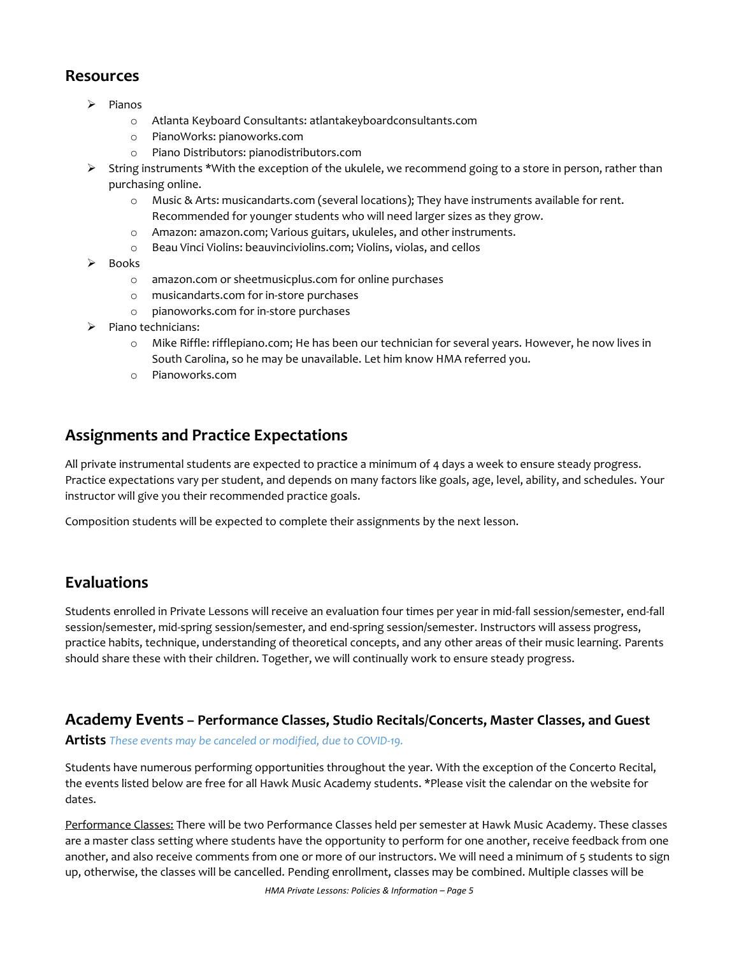### **Resources**

- $\triangleright$  Pianos
	- o Atlanta Keyboard Consultants: atlantakeyboardconsultants.com
	- o PianoWorks: pianoworks.com
	- o Piano Distributors: pianodistributors.com
- $\triangleright$  String instruments \*With the exception of the ukulele, we recommend going to a store in person, rather than purchasing online.
	- o Music & Arts: musicandarts.com (several locations); They have instruments available for rent. Recommended for younger students who will need larger sizes as they grow.
	- o Amazon: amazon.com; Various guitars, ukuleles, and other instruments.
	- o Beau Vinci Violins: beauvinciviolins.com; Violins, violas, and cellos
- $\triangleright$  Books
	- o amazon.com or sheetmusicplus.com for online purchases
	- o musicandarts.com for in-store purchases
	- o pianoworks.com for in-store purchases
- $\triangleright$  Piano technicians:
	- o Mike Riffle: rifflepiano.com; He has been our technician for several years. However, he now lives in South Carolina, so he may be unavailable. Let him know HMA referred you.
	- o Pianoworks.com

## **Assignments and Practice Expectations**

All private instrumental students are expected to practice a minimum of 4 days a week to ensure steady progress. Practice expectations vary per student, and depends on many factors like goals, age, level, ability, and schedules. Your instructor will give you their recommended practice goals.

Composition students will be expected to complete their assignments by the next lesson.

### **Evaluations**

Students enrolled in Private Lessons will receive an evaluation four times per year in mid-fall session/semester, end-fall session/semester, mid-spring session/semester, and end-spring session/semester. Instructors will assess progress, practice habits, technique, understanding of theoretical concepts, and any other areas of their music learning. Parents should share these with their children. Together, we will continually work to ensure steady progress.

### **Academy Events – Performance Classes, Studio Recitals/Concerts, Master Classes, and Guest**

#### **Artists** *These events may be canceled or modified, due to COVID-19.*

Students have numerous performing opportunities throughout the year. With the exception of the Concerto Recital, the events listed below are free for all Hawk Music Academy students. \*Please visit the calendar on the website for dates.

Performance Classes: There will be two Performance Classes held per semester at Hawk Music Academy. These classes are a master class setting where students have the opportunity to perform for one another, receive feedback from one another, and also receive comments from one or more of our instructors. We will need a minimum of 5 students to sign up, otherwise, the classes will be cancelled. Pending enrollment, classes may be combined. Multiple classes will be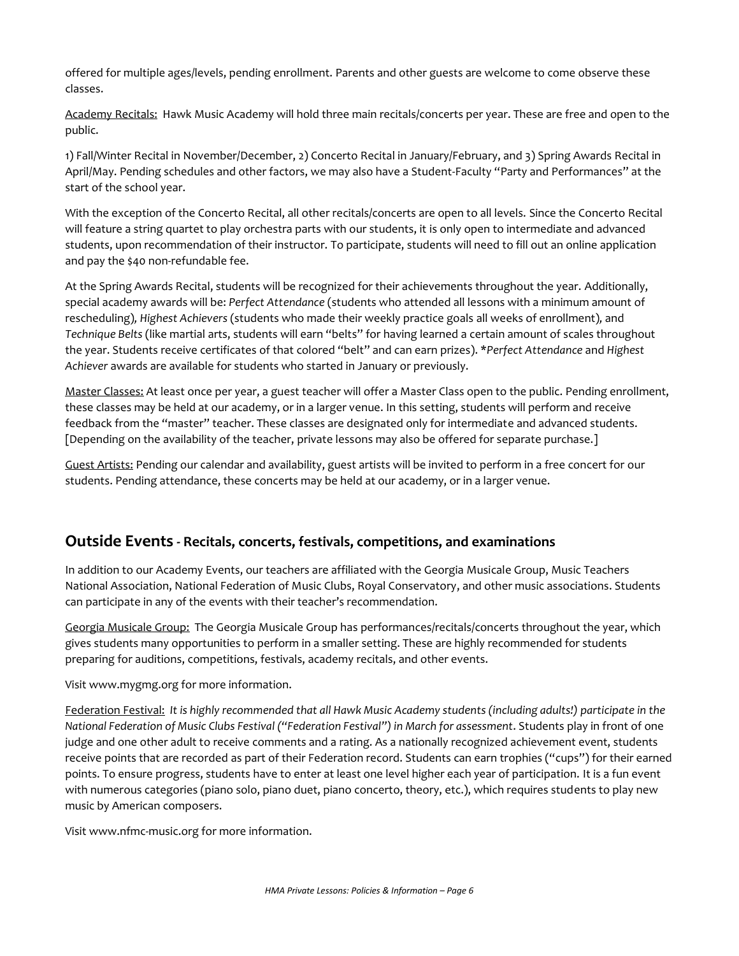offered for multiple ages/levels, pending enrollment. Parents and other guests are welcome to come observe these classes.

Academy Recitals: Hawk Music Academy will hold three main recitals/concerts per year. These are free and open to the public.

1) Fall/Winter Recital in November/December, 2) Concerto Recital in January/February, and 3) Spring Awards Recital in April/May. Pending schedules and other factors, we may also have a Student-Faculty "Party and Performances" at the start of the school year.

With the exception of the Concerto Recital, all other recitals/concerts are open to all levels. Since the Concerto Recital will feature a string quartet to play orchestra parts with our students, it is only open to intermediate and advanced students, upon recommendation of their instructor. To participate, students will need to fill out an online application and pay the \$40 non-refundable fee.

At the Spring Awards Recital, students will be recognized for their achievements throughout the year. Additionally, special academy awards will be: *Perfect Attendance* (students who attended all lessons with a minimum amount of rescheduling)*, Highest Achievers* (students who made their weekly practice goals all weeks of enrollment)*,* and *Technique Belts* (like martial arts, students will earn "belts" for having learned a certain amount of scales throughout the year. Students receive certificates of that colored "belt" and can earn prizes). \**Perfect Attendance* and *Highest Achiever* awards are available for students who started in January or previously.

Master Classes: At least once per year, a guest teacher will offer a Master Class open to the public. Pending enrollment, these classes may be held at our academy, or in a larger venue. In this setting, students will perform and receive feedback from the "master" teacher. These classes are designated only for intermediate and advanced students. [Depending on the availability of the teacher, private lessons may also be offered for separate purchase.]

Guest Artists: Pending our calendar and availability, guest artists will be invited to perform in a free concert for our students. Pending attendance, these concerts may be held at our academy, or in a larger venue.

#### **Outside Events - Recitals, concerts, festivals, competitions, and examinations**

In addition to our Academy Events, our teachers are affiliated with the Georgia Musicale Group, Music Teachers National Association, National Federation of Music Clubs, Royal Conservatory, and other music associations. Students can participate in any of the events with their teacher's recommendation.

Georgia Musicale Group: The Georgia Musicale Group has performances/recitals/concerts throughout the year, which gives students many opportunities to perform in a smaller setting. These are highly recommended for students preparing for auditions, competitions, festivals, academy recitals, and other events.

Visit www.mygmg.org for more information.

Federation Festival: *It is highly recommended that all Hawk Music Academy students (including adults!) participate in the National Federation of Music Clubs Festival ("Federation Festival") in March for assessment*. Students play in front of one judge and one other adult to receive comments and a rating. As a nationally recognized achievement event, students receive points that are recorded as part of their Federation record. Students can earn trophies ("cups") for their earned points. To ensure progress, students have to enter at least one level higher each year of participation. It is a fun event with numerous categories (piano solo, piano duet, piano concerto, theory, etc.), which requires students to play new music by American composers.

Visit www.nfmc-music.org for more information.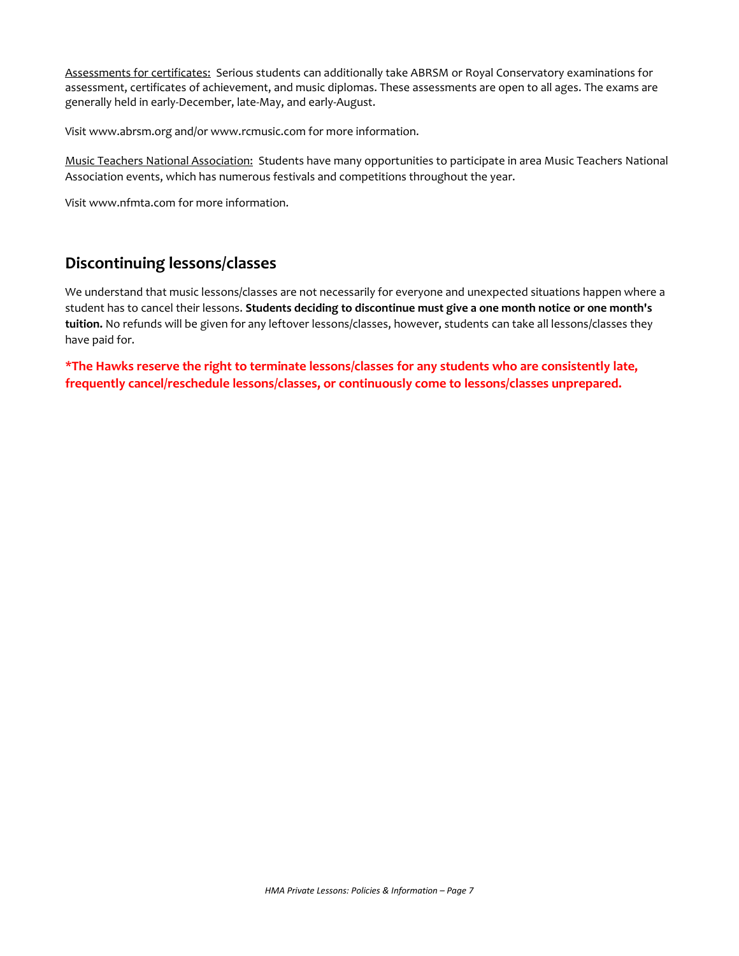Assessments for certificates: Serious students can additionally take ABRSM or Royal Conservatory examinations for assessment, certificates of achievement, and music diplomas. These assessments are open to all ages. The exams are generally held in early-December, late-May, and early-August.

Visit www.abrsm.org and/or www.rcmusic.com for more information.

Music Teachers National Association: Students have many opportunities to participate in area Music Teachers National Association events, which has numerous festivals and competitions throughout the year.

Visit www.nfmta.com for more information.

### **Discontinuing lessons/classes**

We understand that music lessons/classes are not necessarily for everyone and unexpected situations happen where a student has to cancel their lessons. **Students deciding to discontinue must give a one month notice or one month's tuition.** No refunds will be given for any leftover lessons/classes, however, students can take all lessons/classes they have paid for.

**\*The Hawks reserve the right to terminate lessons/classes for any students who are consistently late, frequently cancel/reschedule lessons/classes, or continuously come to lessons/classes unprepared.**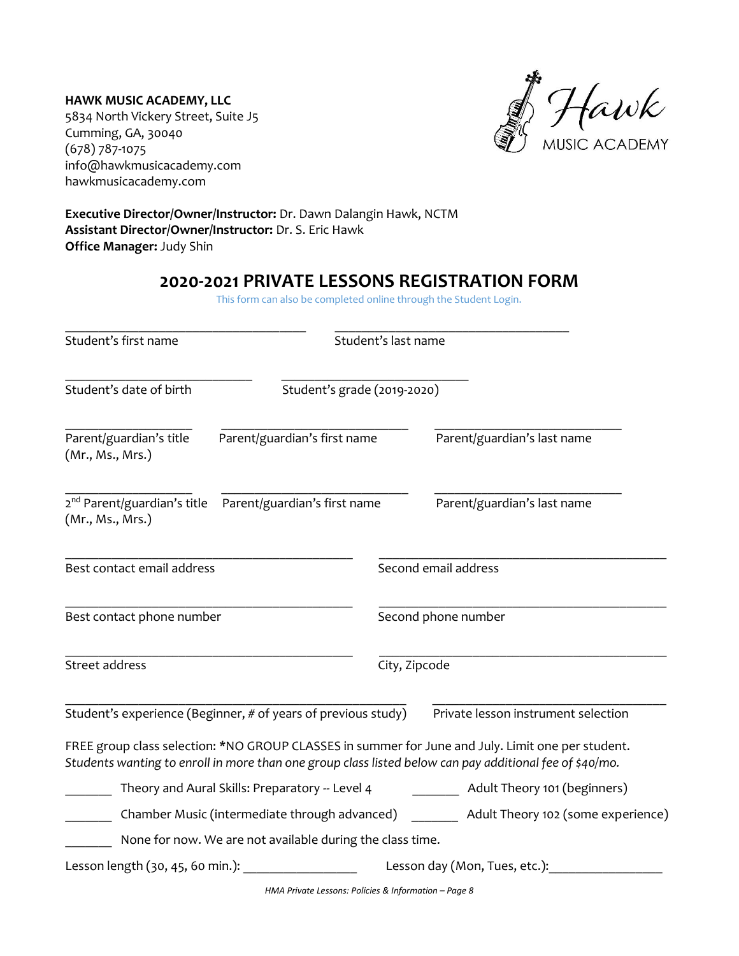**HAWK MUSIC ACADEMY, LLC** 5834 North Vickery Street, Suite J5 Cumming, GA, 30040 (678) 787-1075 info@hawkmusicacademy.com hawkmusicacademy.com

Hawk<br>MUSIC ACADEMY

**Executive Director/Owner/Instructor:** Dr. Dawn Dalangin Hawk, NCTM **Assistant Director/Owner/Instructor:** Dr. S. Eric Hawk **Office Manager:** Judy Shin

## **2020-2021 PRIVATE LESSONS REGISTRATION FORM**

This form can also be completed online through the Student Login.

| Student's first name                            | Student's last name                                                   |                              |                                                                                                                                                                                                              |  |
|-------------------------------------------------|-----------------------------------------------------------------------|------------------------------|--------------------------------------------------------------------------------------------------------------------------------------------------------------------------------------------------------------|--|
| Student's date of birth                         | Student's grade (2019-2020)                                           |                              |                                                                                                                                                                                                              |  |
| Parent/guardian's title<br>(Mr., Ms., Mrs.)     | Parent/guardian's first name                                          |                              | Parent/guardian's last name                                                                                                                                                                                  |  |
| (Mr., Ms., Mrs.)                                | 2 <sup>nd</sup> Parent/guardian's title  Parent/guardian's first name |                              | Parent/guardian's last name                                                                                                                                                                                  |  |
| Best contact email address                      |                                                                       | Second email address         |                                                                                                                                                                                                              |  |
| Best contact phone number                       |                                                                       | Second phone number          |                                                                                                                                                                                                              |  |
| Street address                                  |                                                                       | City, Zipcode                |                                                                                                                                                                                                              |  |
|                                                 | Student's experience (Beginner, # of years of previous study)         |                              | Private lesson instrument selection                                                                                                                                                                          |  |
|                                                 |                                                                       |                              | FREE group class selection: *NO GROUP CLASSES in summer for June and July. Limit one per student.<br>Students wanting to enroll in more than one group class listed below can pay additional fee of \$40/mo. |  |
| Theory and Aural Skills: Preparatory -- Level 4 |                                                                       | Adult Theory 101 (beginners) |                                                                                                                                                                                                              |  |
|                                                 | Chamber Music (intermediate through advanced)                         |                              | Adult Theory 102 (some experience)                                                                                                                                                                           |  |
|                                                 | None for now. We are not available during the class time.             |                              |                                                                                                                                                                                                              |  |
|                                                 | Lesson length (30, 45, 60 min.):<br>Lesson day (Mon, Tues, etc.):     |                              |                                                                                                                                                                                                              |  |

*HMA Private Lessons: Policies & Information – Page 8*